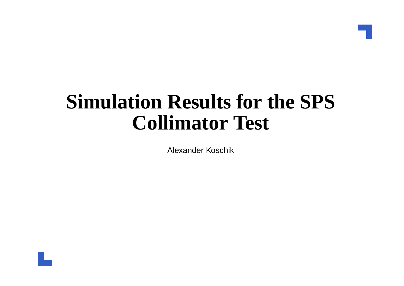#### **Simulation Results for the SPSCollimator Test**

Alexander Koschik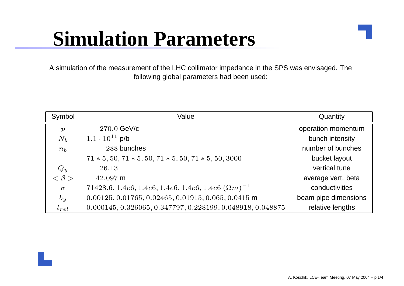#### **Simulation Parameters**

A simulation of the measurement of the LHC collimator impedance in the SPS was envisaged. Thefollowing global parameters had been used:

| Symbol           | Value                                                        | Quantity             |
|------------------|--------------------------------------------------------------|----------------------|
| $\boldsymbol{p}$ | $270.0$ GeV/c                                                | operation momentum   |
| $N_b$            | $1.1 \cdot 10^{11}$ p/b                                      | bunch intensity      |
| $n_b$            | 288 bunches                                                  | number of bunches    |
|                  | $71 * 5, 50, 71 * 5, 50, 71 * 5, 50, 71 * 5, 50, 3000$       | bucket layout        |
| $Q_y$            | 26.13                                                        | vertical tune        |
| $< \beta$        | $42.097$ m                                                   | average vert. beta   |
| $\sigma$         | $71428.6, 1.4e6, 1.4e6, 1.4e6, 1.4e6, 1.4e6 (\Omega m)^{-1}$ | conductivities       |
| $b_y$            | $0.00125, 0.01765, 0.02465, 0.01915, 0.065, 0.0415$ m        | beam pipe dimensions |
| $l_{rel}$        | 0.000145, 0.326065, 0.347797, 0.228199, 0.048918, 0.048875   | relative lengths     |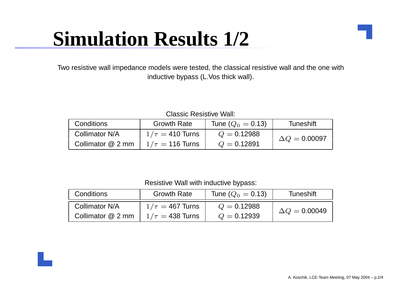# **Simulation Results 1/2**

Two resistive wall impedance models were tested, the classical resistive wall and the one withinductive bypass (L.Vos thick wall).

Classic Resistive Wall:

| Conditions        | <b>Growth Rate</b>   | Tune $(Q_0 = 0.13)$ | Tuneshift            |
|-------------------|----------------------|---------------------|----------------------|
| Collimator N/A    | $1/\tau=$ 410 Turns  | $Q = 0.12988$       | $\Delta Q = 0.00097$ |
| Collimator @ 2 mm | $1/\tau = 116$ Turns | $Q = 0.12891$       |                      |

Resistive Wall with inductive bypass:

| Conditions        | <b>Growth Rate</b>   | Tune $(Q_0 = 0.13)$ | Tuneshift            |  |
|-------------------|----------------------|---------------------|----------------------|--|
| Collimator N/A    | $1/\tau = 467$ Turns | $Q = 0.12988$       | $\Delta Q = 0.00049$ |  |
| Collimator @ 2 mm | $1/\tau = 438$ Turns | $Q = 0.12939$       |                      |  |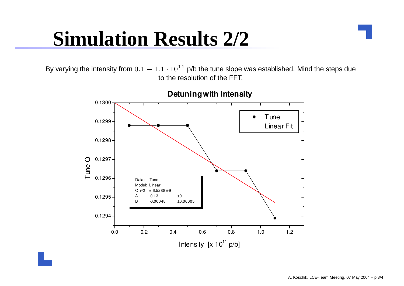### **Simulation Results 2/2**

By varying the intensity from  $0.1-1.1\cdot10^{11}$  p/b the tune slope was established. Mind the steps due to the resolution of the FFT.



**Detuning with Intensity**